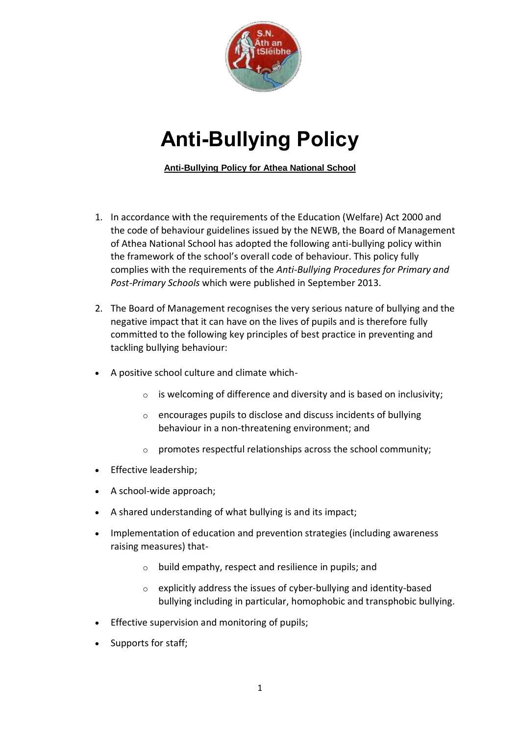

# **Anti-Bullying Policy**

**Anti-Bullying Policy for Athea National School**

- 1. In accordance with the requirements of the Education (Welfare) Act 2000 and the code of behaviour guidelines issued by the NEWB, the Board of Management of Athea National School has adopted the following anti-bullying policy within the framework of the school's overall code of behaviour. This policy fully complies with the requirements of the *Anti-Bullying Procedures for Primary and Post-Primary Schools* which were published in September 2013.
- 2. The Board of Management recognises the very serious nature of bullying and the negative impact that it can have on the lives of pupils and is therefore fully committed to the following key principles of best practice in preventing and tackling bullying behaviour:
- A positive school culture and climate which-
	- $\circ$  is welcoming of difference and diversity and is based on inclusivity;
	- o encourages pupils to disclose and discuss incidents of bullying behaviour in a non-threatening environment; and
	- $\circ$  promotes respectful relationships across the school community;
- Effective leadership;
- A school-wide approach;
- A shared understanding of what bullying is and its impact;
- Implementation of education and prevention strategies (including awareness raising measures) that
	- o build empathy, respect and resilience in pupils; and
	- o explicitly address the issues of cyber-bullying and identity-based bullying including in particular, homophobic and transphobic bullying.
- **Effective supervision and monitoring of pupils;**
- Supports for staff;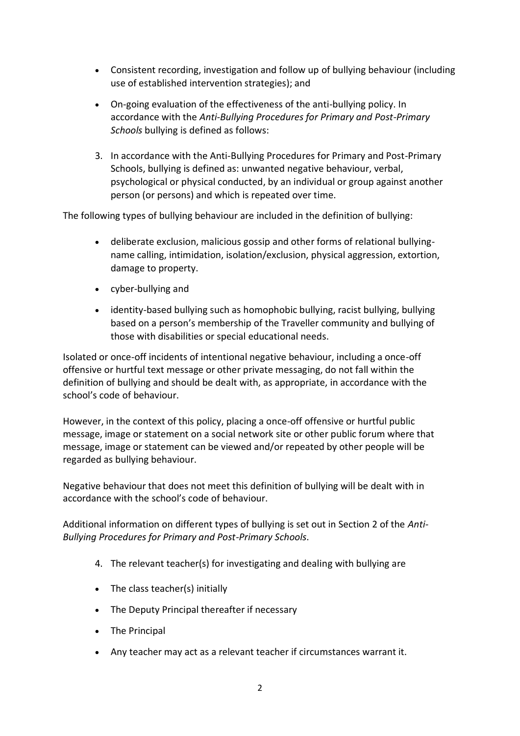- Consistent recording, investigation and follow up of bullying behaviour (including use of established intervention strategies); and
- On-going evaluation of the effectiveness of the anti-bullying policy. In accordance with the *Anti-Bullying Procedures for Primary and Post-Primary Schools* bullying is defined as follows:
- 3. In accordance with the Anti-Bullying Procedures for Primary and Post-Primary Schools, bullying is defined as: unwanted negative behaviour, verbal, psychological or physical conducted, by an individual or group against another person (or persons) and which is repeated over time.

The following types of bullying behaviour are included in the definition of bullying:

- deliberate exclusion, malicious gossip and other forms of relational bullyingname calling, intimidation, isolation/exclusion, physical aggression, extortion, damage to property.
- cyber-bullying and
- identity-based bullying such as homophobic bullying, racist bullying, bullying based on a person's membership of the Traveller community and bullying of those with disabilities or special educational needs.

Isolated or once-off incidents of intentional negative behaviour, including a once-off offensive or hurtful text message or other private messaging, do not fall within the definition of bullying and should be dealt with, as appropriate, in accordance with the school's code of behaviour.

However, in the context of this policy, placing a once-off offensive or hurtful public message, image or statement on a social network site or other public forum where that message, image or statement can be viewed and/or repeated by other people will be regarded as bullying behaviour.

Negative behaviour that does not meet this definition of bullying will be dealt with in accordance with the school's code of behaviour.

Additional information on different types of bullying is set out in Section 2 of the *Anti-Bullying Procedures for Primary and Post-Primary Schools*.

- 4. The relevant teacher(s) for investigating and dealing with bullying are
- The class teacher(s) initially
- The Deputy Principal thereafter if necessary
- The Principal
- Any teacher may act as a relevant teacher if circumstances warrant it.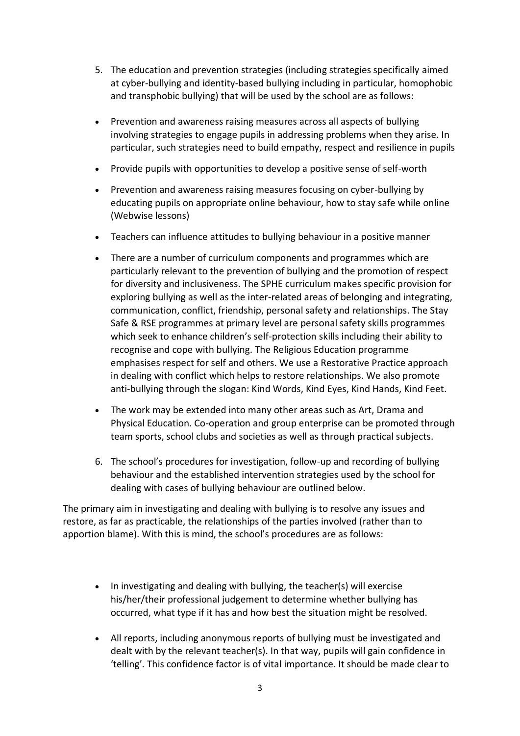- 5. The education and prevention strategies (including strategies specifically aimed at cyber-bullying and identity-based bullying including in particular, homophobic and transphobic bullying) that will be used by the school are as follows:
- Prevention and awareness raising measures across all aspects of bullying involving strategies to engage pupils in addressing problems when they arise. In particular, such strategies need to build empathy, respect and resilience in pupils
- Provide pupils with opportunities to develop a positive sense of self-worth
- Prevention and awareness raising measures focusing on cyber-bullying by educating pupils on appropriate online behaviour, how to stay safe while online (Webwise lessons)
- Teachers can influence attitudes to bullying behaviour in a positive manner
- There are a number of curriculum components and programmes which are particularly relevant to the prevention of bullying and the promotion of respect for diversity and inclusiveness. The SPHE curriculum makes specific provision for exploring bullying as well as the inter-related areas of belonging and integrating, communication, conflict, friendship, personal safety and relationships. The Stay Safe & RSE programmes at primary level are personal safety skills programmes which seek to enhance children's self-protection skills including their ability to recognise and cope with bullying. The Religious Education programme emphasises respect for self and others. We use a Restorative Practice approach in dealing with conflict which helps to restore relationships. We also promote anti-bullying through the slogan: Kind Words, Kind Eyes, Kind Hands, Kind Feet.
- The work may be extended into many other areas such as Art, Drama and Physical Education. Co-operation and group enterprise can be promoted through team sports, school clubs and societies as well as through practical subjects.
- 6. The school's procedures for investigation, follow-up and recording of bullying behaviour and the established intervention strategies used by the school for dealing with cases of bullying behaviour are outlined below.

The primary aim in investigating and dealing with bullying is to resolve any issues and restore, as far as practicable, the relationships of the parties involved (rather than to apportion blame). With this is mind, the school's procedures are as follows:

- In investigating and dealing with bullying, the teacher(s) will exercise his/her/their professional judgement to determine whether bullying has occurred, what type if it has and how best the situation might be resolved.
- All reports, including anonymous reports of bullying must be investigated and dealt with by the relevant teacher(s). In that way, pupils will gain confidence in 'telling'. This confidence factor is of vital importance. It should be made clear to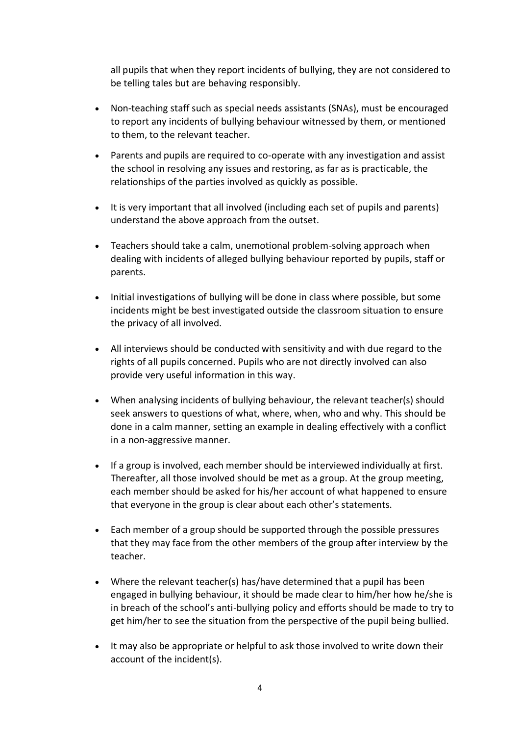all pupils that when they report incidents of bullying, they are not considered to be telling tales but are behaving responsibly.

- Non-teaching staff such as special needs assistants (SNAs), must be encouraged to report any incidents of bullying behaviour witnessed by them, or mentioned to them, to the relevant teacher.
- Parents and pupils are required to co-operate with any investigation and assist the school in resolving any issues and restoring, as far as is practicable, the relationships of the parties involved as quickly as possible.
- It is very important that all involved (including each set of pupils and parents) understand the above approach from the outset.
- Teachers should take a calm, unemotional problem-solving approach when dealing with incidents of alleged bullying behaviour reported by pupils, staff or parents.
- Initial investigations of bullying will be done in class where possible, but some incidents might be best investigated outside the classroom situation to ensure the privacy of all involved.
- All interviews should be conducted with sensitivity and with due regard to the rights of all pupils concerned. Pupils who are not directly involved can also provide very useful information in this way.
- When analysing incidents of bullying behaviour, the relevant teacher(s) should seek answers to questions of what, where, when, who and why. This should be done in a calm manner, setting an example in dealing effectively with a conflict in a non-aggressive manner.
- If a group is involved, each member should be interviewed individually at first. Thereafter, all those involved should be met as a group. At the group meeting, each member should be asked for his/her account of what happened to ensure that everyone in the group is clear about each other's statements.
- Each member of a group should be supported through the possible pressures that they may face from the other members of the group after interview by the teacher.
- Where the relevant teacher(s) has/have determined that a pupil has been engaged in bullying behaviour, it should be made clear to him/her how he/she is in breach of the school's anti-bullying policy and efforts should be made to try to get him/her to see the situation from the perspective of the pupil being bullied.
- It may also be appropriate or helpful to ask those involved to write down their account of the incident(s).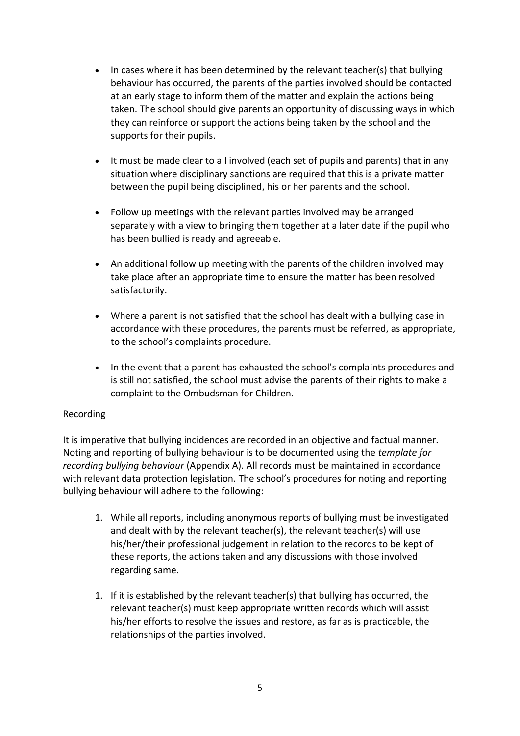- In cases where it has been determined by the relevant teacher(s) that bullying behaviour has occurred, the parents of the parties involved should be contacted at an early stage to inform them of the matter and explain the actions being taken. The school should give parents an opportunity of discussing ways in which they can reinforce or support the actions being taken by the school and the supports for their pupils.
- It must be made clear to all involved (each set of pupils and parents) that in any situation where disciplinary sanctions are required that this is a private matter between the pupil being disciplined, his or her parents and the school.
- Follow up meetings with the relevant parties involved may be arranged separately with a view to bringing them together at a later date if the pupil who has been bullied is ready and agreeable.
- An additional follow up meeting with the parents of the children involved may take place after an appropriate time to ensure the matter has been resolved satisfactorily.
- Where a parent is not satisfied that the school has dealt with a bullying case in accordance with these procedures, the parents must be referred, as appropriate, to the school's complaints procedure.
- In the event that a parent has exhausted the school's complaints procedures and is still not satisfied, the school must advise the parents of their rights to make a complaint to the Ombudsman for Children.

#### Recording

It is imperative that bullying incidences are recorded in an objective and factual manner. Noting and reporting of bullying behaviour is to be documented using the *template for recording bullying behaviour* (Appendix A). All records must be maintained in accordance with relevant data protection legislation. The school's procedures for noting and reporting bullying behaviour will adhere to the following:

- 1. While all reports, including anonymous reports of bullying must be investigated and dealt with by the relevant teacher(s), the relevant teacher(s) will use his/her/their professional judgement in relation to the records to be kept of these reports, the actions taken and any discussions with those involved regarding same.
- 1. If it is established by the relevant teacher(s) that bullying has occurred, the relevant teacher(s) must keep appropriate written records which will assist his/her efforts to resolve the issues and restore, as far as is practicable, the relationships of the parties involved.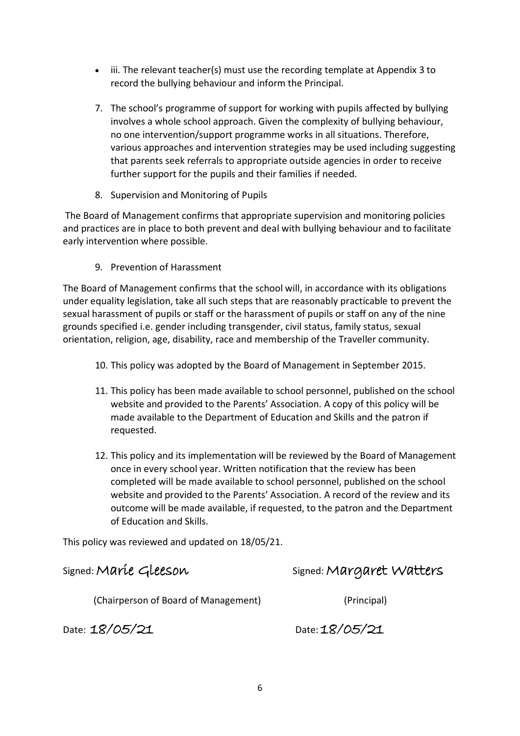- iii. The relevant teacher(s) must use the recording template at Appendix 3 to record the bullying behaviour and inform the Principal.
- 7. The school's programme of support for working with pupils affected by bullying involves a whole school approach. Given the complexity of bullying behaviour, no one intervention/support programme works in all situations. Therefore, various approaches and intervention strategies may be used including suggesting that parents seek referrals to appropriate outside agencies in order to receive further support for the pupils and their families if needed.
- 8. Supervision and Monitoring of Pupils

The Board of Management confirms that appropriate supervision and monitoring policies and practices are in place to both prevent and deal with bullying behaviour and to facilitate early intervention where possible.

9. Prevention of Harassment

The Board of Management confirms that the school will, in accordance with its obligations under equality legislation, take all such steps that are reasonably practicable to prevent the sexual harassment of pupils or staff or the harassment of pupils or staff on any of the nine grounds specified i.e. gender including transgender, civil status, family status, sexual orientation, religion, age, disability, race and membership of the Traveller community.

- 10. This policy was adopted by the Board of Management in September 2015.
- 11. This policy has been made available to school personnel, published on the school website and provided to the Parents' Association. A copy of this policy will be made available to the Department of Education and Skills and the patron if requested.
- 12. This policy and its implementation will be reviewed by the Board of Management once in every school year. Written notification that the review has been completed will be made available to school personnel, published on the school website and provided to the Parents' Association. A record of the review and its outcome will be made available, if requested, to the patron and the Department of Education and Skills.

This policy was reviewed and updated on 18/05/21.

signed: Maríe Gleeson Signed: Margaret Watters

(Chairperson of Board of Management) (Principal)

Date: 18/05/21 Date: 18/05/21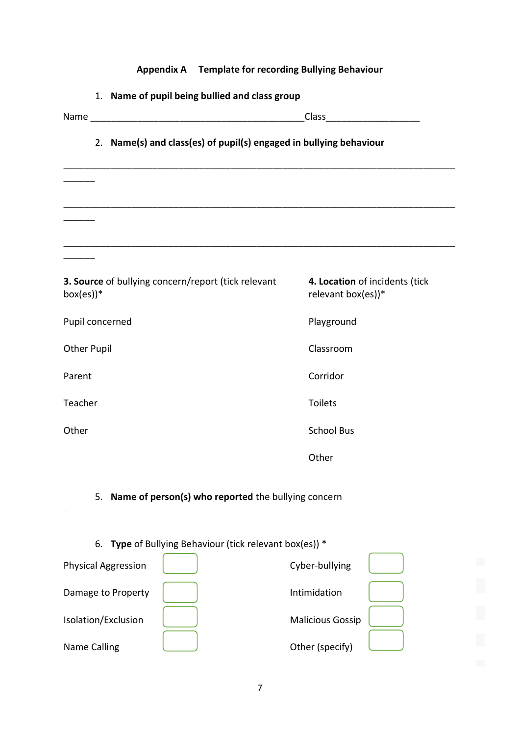| Appendix A Template for recording Bullying Behaviour                |                                                      |  |
|---------------------------------------------------------------------|------------------------------------------------------|--|
| 1. Name of pupil being bullied and class group                      |                                                      |  |
|                                                                     |                                                      |  |
| 2. Name(s) and class(es) of pupil(s) engaged in bullying behaviour  |                                                      |  |
|                                                                     |                                                      |  |
|                                                                     |                                                      |  |
| 3. Source of bullying concern/report (tick relevant<br>$box(es))$ * | 4. Location of incidents (tick<br>relevant box(es))* |  |
| Pupil concerned                                                     | Playground                                           |  |
| <b>Other Pupil</b>                                                  | Classroom                                            |  |
| Parent                                                              | Corridor                                             |  |
| Teacher                                                             | Toilets                                              |  |
| Other                                                               | <b>School Bus</b>                                    |  |
|                                                                     | Other                                                |  |
| 5. Name of person(s) who reported the bullying concern              |                                                      |  |
| 6. Type of Bullying Behaviour (tick relevant box(es)) *             |                                                      |  |
| <b>Physical Aggression</b>                                          | Cyber-bullying                                       |  |
| Damage to Property                                                  | Intimidation                                         |  |

| <b>Physical Aggression</b> | Cyber-bullying          |  |
|----------------------------|-------------------------|--|
| Damage to Property         | Intimidation            |  |
| Isolation/Exclusion        | <b>Malicious Gossip</b> |  |
| Name Calling               | Other (specify)         |  |